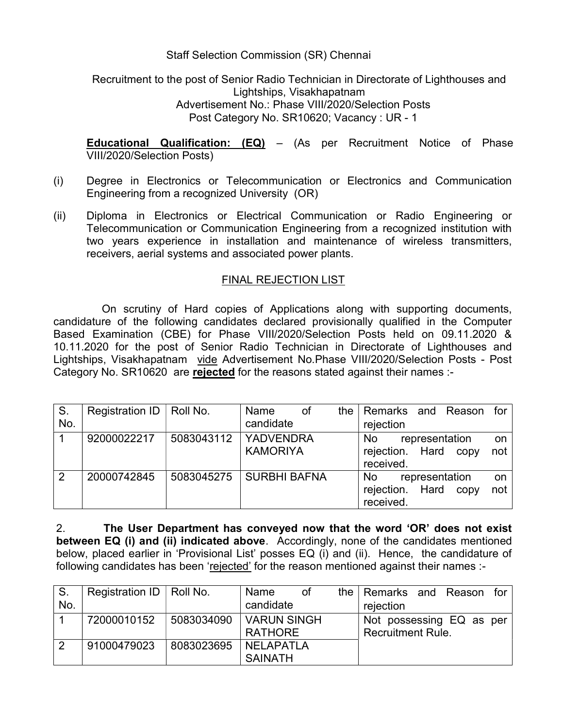## Staff Selection Commission (SR) Chennai

## Recruitment to the post of Senior Radio Technician in Directorate of Lighthouses and Lightships, Visakhapatnam Advertisement No.: Phase VIII/2020/Selection Posts Post Category No. SR10620; Vacancy : UR - 1

Educational Qualification: (EQ) – (As per Recruitment Notice of Phase VIII/2020/Selection Posts)

- (i) Degree in Electronics or Telecommunication or Electronics and Communication Engineering from a recognized University (OR)
- (ii) Diploma in Electronics or Electrical Communication or Radio Engineering or Telecommunication or Communication Engineering from a recognized institution with two years experience in installation and maintenance of wireless transmitters, receivers, aerial systems and associated power plants.

## FINAL REJECTION LIST

On scrutiny of Hard copies of Applications along with supporting documents, candidature of the following candidates declared provisionally qualified in the Computer Based Examination (CBE) for Phase VIII/2020/Selection Posts held on 09.11.2020 & 10.11.2020 for the post of Senior Radio Technician in Directorate of Lighthouses and Lightships, Visakhapatnam vide Advertisement No.Phase VIII/2020/Selection Posts - Post Category No. SR10620 are rejected for the reasons stated against their names :-

| S.<br>No.      | Registration ID | Roll No.               | Name<br>candidate   | of | the $ $ | rejection              |  | Remarks and Reason for                 |           |
|----------------|-----------------|------------------------|---------------------|----|---------|------------------------|--|----------------------------------------|-----------|
|                | 92000022217     | 5083043112   YADVENDRA | <b>KAMORIYA</b>     |    |         | <b>No</b><br>received. |  | representation<br>rejection. Hard copy | on<br>not |
| $\overline{2}$ | 20000742845     | 5083045275             | <b>SURBHI BAFNA</b> |    |         | No.<br>received.       |  | representation<br>rejection. Hard copy | on<br>not |

2. The User Department has conveyed now that the word 'OR' does not exist between EQ (i) and (ii) indicated above. Accordingly, none of the candidates mentioned below, placed earlier in 'Provisional List' posses EQ (i) and (ii). Hence, the candidature of following candidates has been 'rejected' for the reason mentioned against their names :-

| S.  | Registration ID   Roll No. |            | Name<br>of         | the Remarks and Reason   |  | for |
|-----|----------------------------|------------|--------------------|--------------------------|--|-----|
| No. |                            |            | candidate          | rejection                |  |     |
|     | 72000010152                | 5083034090 | <b>VARUN SINGH</b> | Not possessing EQ as per |  |     |
|     |                            |            | <b>RATHORE</b>     | <b>Recruitment Rule.</b> |  |     |
|     | 91000479023                | 8083023695 | <b>NELAPATLA</b>   |                          |  |     |
|     |                            |            | <b>SAINATH</b>     |                          |  |     |